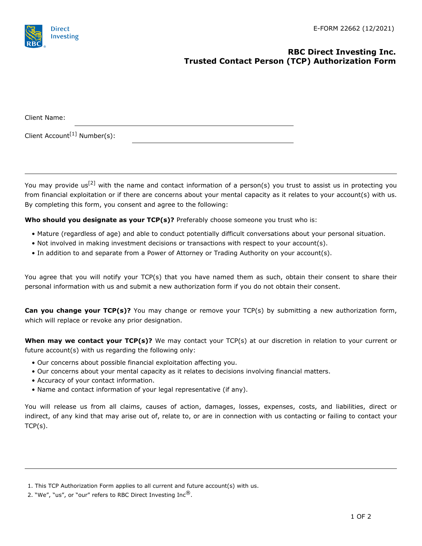## **RBC Direct Investing Inc. Trusted Contact Person (TCP) Authorization Form**

| Client Name:                             |  |  |  |
|------------------------------------------|--|--|--|
| Client Account <sup>[1]</sup> Number(s): |  |  |  |

You may provide us<sup>[2]</sup> with the name and contact information of a person(s) you trust to assist us in protecting you from financial exploitation or if there are concerns about your mental capacity as it relates to your account(s) with us. By completing this form, you consent and agree to the following:

**Who should you designate as your TCP(s)?** Preferably choose someone you trust who is:

- Mature (regardless of age) and able to conduct potentially difficult conversations about your personal situation.
- Not involved in making investment decisions or transactions with respect to your account(s).
- In addition to and separate from a Power of Attorney or Trading Authority on your account(s).

You agree that you will notify your TCP(s) that you have named them as such, obtain their consent to share their personal information with us and submit a new authorization form if you do not obtain their consent.

**Can you change your TCP(s)?** You may change or remove your TCP(s) by submitting a new authorization form, which will replace or revoke any prior designation.

**When may we contact your TCP(s)?** We may contact your TCP(s) at our discretion in relation to your current or future account(s) with us regarding the following only:

- Our concerns about possible financial exploitation affecting you.
- Our concerns about your mental capacity as it relates to decisions involving financial matters.
- Accuracy of your contact information.
- Name and contact information of your legal representative (if any).

You will release us from all claims, causes of action, damages, losses, expenses, costs, and liabilities, direct or indirect, of any kind that may arise out of, relate to, or are in connection with us contacting or failing to contact your TCP(s).

<sup>1.</sup> This TCP Authorization Form applies to all current and future account(s) with us.

<sup>2. &</sup>quot;We", "us", or "our" refers to RBC Direct Investing  $Inc^{\mathcal{B}}$ .